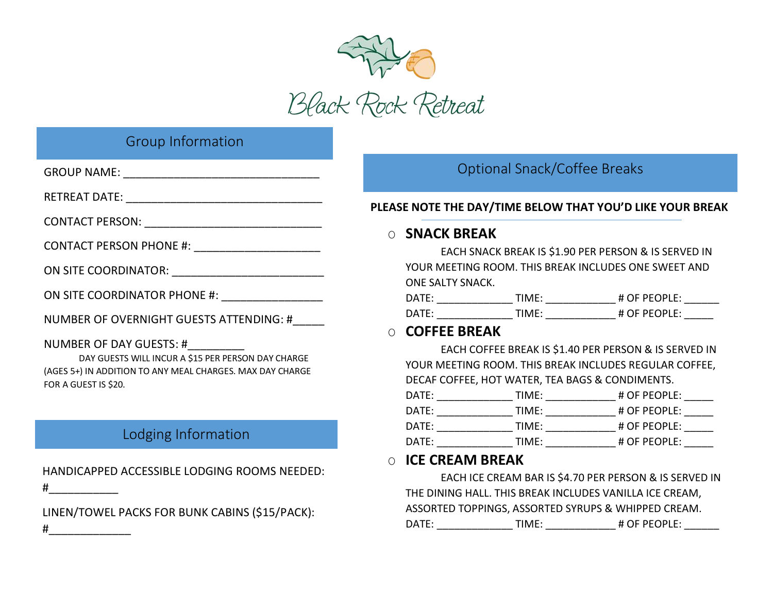

# Group Information

| ON SITE COORDINATOR PHONE #: __________________                                                                                                                              |
|------------------------------------------------------------------------------------------------------------------------------------------------------------------------------|
| NUMBER OF OVERNIGHT GUESTS ATTENDING: #                                                                                                                                      |
| NUMBER OF DAY GUESTS: #__________<br>DAY GUESTS WILL INCUR A \$15 PER PERSON DAY CHARGE<br>(AGES 5+) IN ADDITION TO ANY MEAL CHARGES. MAX DAY CHARGE<br>FOR A GUEST IS \$20. |
| Lodging Information                                                                                                                                                          |

HANDICAPPED ACCESSIBLE LODGING ROOMS NEEDED:

LINEN/TOWEL PACKS FOR BUNK CABINS (\$15/PACK):

 $\#$ 

#\_\_\_\_\_\_\_\_\_\_\_\_\_

# Optional Snack/Coffee Breaks

### **PLEASE NOTE THE DAY/TIME BELOW THAT YOU'D LIKE YOUR BREAK**

## O **SNACK BREAK**

EACH SNACK BREAK IS \$1.90 PER PERSON & IS SERVED IN YOUR MEETING ROOM. THIS BREAK INCLUDES ONE SWEET AND ONE SALTY SNACK.

| $\mathsf{DATF}$ | TIMF∙  | # OF PEOPLE: |
|-----------------|--------|--------------|
| <b>DATE:</b>    | ΤΙΝΑΕ. | # OF PFOPLE: |

## O **COFFEE BREAK**

EACH COFFEE BREAK IS \$1.40 PER PERSON & IS SERVED IN YOUR MEETING ROOM. THIS BREAK INCLUDES REGULAR COFFEE, DECAF COFFEE, HOT WATER, TEA BAGS & CONDIMENTS.

| DATF: | TIMF: | # OF PEOPLE: |
|-------|-------|--------------|
| DATF: | TIMF: | # OF PEOPLE: |
| DATF: | TIMF: | # OF PEOPLE: |
| DATF: | TIMF: | # OF PEOPLE: |

## O **ICE CREAM BREAK**

EACH ICE CREAM BAR IS \$4.70 PER PERSON & IS SERVED IN THE DINING HALL. THIS BREAK INCLUDES VANILLA ICE CREAM, ASSORTED TOPPINGS, ASSORTED SYRUPS & WHIPPED CREAM. DATE: TIME: # OF PEOPLE: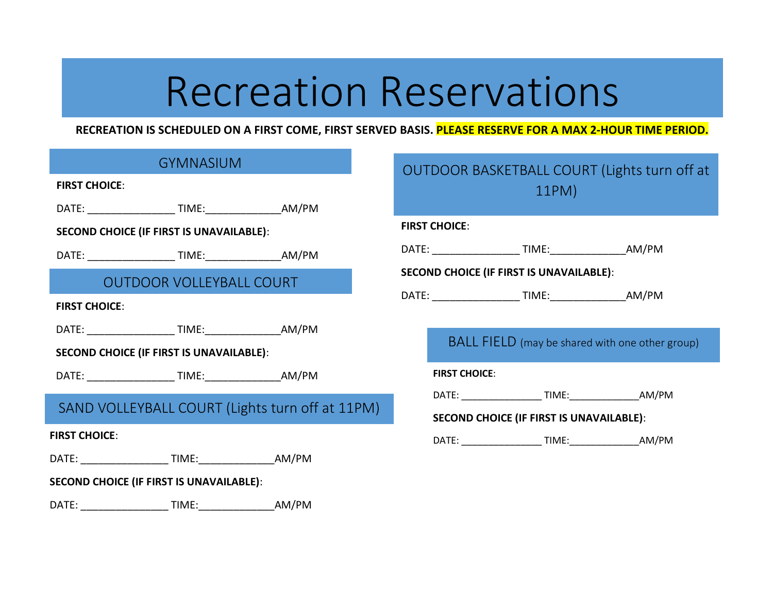# Recreation Reservations

### **RECREATION IS SCHEDULED ON A FIRST COME, FIRST SERVED BASIS. PLEASE RESERVE FOR A MAX 2-HOUR TIME PERIOD.**

|                      | <b>GYMNASIUM</b>                                |                                                 |
|----------------------|-------------------------------------------------|-------------------------------------------------|
| <b>FIRST CHOICE:</b> |                                                 |                                                 |
|                      |                                                 |                                                 |
|                      | <b>SECOND CHOICE (IF FIRST IS UNAVAILABLE):</b> |                                                 |
|                      |                                                 |                                                 |
|                      | <b>OUTDOOR VOLLEYBALL COURT</b>                 |                                                 |
| <b>FIRST CHOICE:</b> |                                                 |                                                 |
|                      |                                                 |                                                 |
|                      | <b>SECOND CHOICE (IF FIRST IS UNAVAILABLE):</b> |                                                 |
|                      |                                                 |                                                 |
|                      |                                                 | SAND VOLLEYBALL COURT (Lights turn off at 11PM) |
| <b>FIRST CHOICE:</b> |                                                 |                                                 |
|                      |                                                 |                                                 |
|                      | <b>SECOND CHOICE (IF FIRST IS UNAVAILABLE):</b> |                                                 |
|                      |                                                 |                                                 |

|                      |                      | <b>OUTDOOR BASKETBALL COURT (Lights turn off at</b><br>11PM) |  |
|----------------------|----------------------|--------------------------------------------------------------|--|
| <b>FIRST CHOICE:</b> |                      |                                                              |  |
|                      |                      |                                                              |  |
|                      |                      | <b>SECOND CHOICE (IF FIRST IS UNAVAILABLE):</b>              |  |
|                      |                      |                                                              |  |
|                      |                      |                                                              |  |
|                      |                      | <b>BALL FIELD</b> (may be shared with one other group)       |  |
|                      | <b>FIRST CHOICE:</b> |                                                              |  |
|                      |                      |                                                              |  |
|                      |                      | <b>SECOND CHOICE (IF FIRST IS UNAVAILABLE):</b>              |  |
|                      |                      |                                                              |  |
|                      |                      |                                                              |  |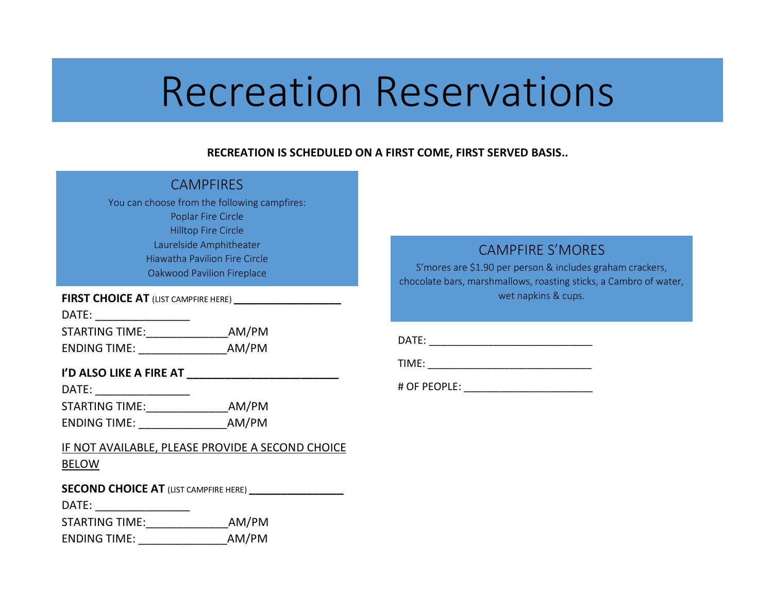# Recreation Reservations

### **RECREATION IS SCHEDULED ON A FIRST COME, FIRST SERVED BASIS..**

|                                              | <b>CAMPFIRES</b>                                            |  |  |  |  |  |
|----------------------------------------------|-------------------------------------------------------------|--|--|--|--|--|
| You can choose from the following campfires: |                                                             |  |  |  |  |  |
| Poplar Fire Circle                           |                                                             |  |  |  |  |  |
|                                              | <b>Hilltop Fire Circle</b>                                  |  |  |  |  |  |
|                                              | Laurelside Amphitheater                                     |  |  |  |  |  |
|                                              | <b>Hiawatha Pavilion Fire Circle</b>                        |  |  |  |  |  |
|                                              | Oakwood Pavilion Fireplace                                  |  |  |  |  |  |
|                                              | FIRST CHOICE AT (LIST CAMPFIRE HERE) ______________________ |  |  |  |  |  |
|                                              |                                                             |  |  |  |  |  |
| STARTING TIME:___________________AM/PM       |                                                             |  |  |  |  |  |
|                                              |                                                             |  |  |  |  |  |
|                                              |                                                             |  |  |  |  |  |
|                                              | I'D ALSO LIKE A FIRE AT ________________________            |  |  |  |  |  |
| STARTING TIME:________________AM/PM          |                                                             |  |  |  |  |  |
|                                              |                                                             |  |  |  |  |  |
|                                              |                                                             |  |  |  |  |  |
|                                              |                                                             |  |  |  |  |  |
|                                              | <u>IF NOT AVAILABLE, PLEASE PROVIDE A SECOND CHOICE</u>     |  |  |  |  |  |
| <b>BELOW</b>                                 |                                                             |  |  |  |  |  |
|                                              |                                                             |  |  |  |  |  |
|                                              | SECOND CHOICE AT (LIST CAMPFIRE HERE) __________________    |  |  |  |  |  |
|                                              |                                                             |  |  |  |  |  |
| STARTING TIME:____________________AM/PM      |                                                             |  |  |  |  |  |

### CAMPFIRE S'MORES

S'mores are \$1.90 per person & includes graham crackers, chocolate bars, marshmallows, roasting sticks, a Cambro of water, wet napkins & cups.

DATE: \_\_\_\_\_\_\_\_\_\_\_\_\_\_\_\_\_\_\_\_\_\_\_\_\_\_\_\_

TIME: \_\_\_\_\_\_\_\_\_\_\_\_\_\_\_\_\_\_\_\_\_\_\_\_\_\_\_\_

# OF PEOPLE: \_\_\_\_\_\_\_\_\_\_\_\_\_\_\_\_\_\_\_\_\_\_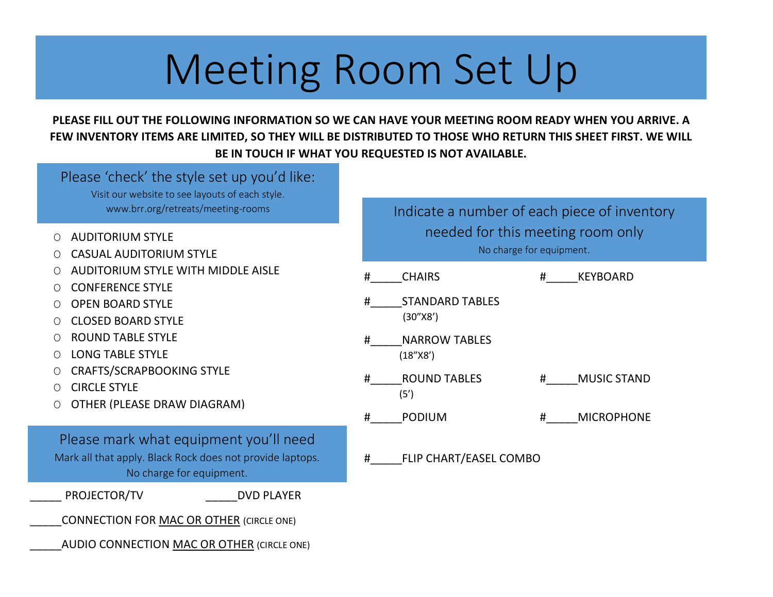# Meeting Room Set Up

## **PLEASE FILL OUT THE FOLLOWING INFORMATION SO WE CAN HAVE YOUR MEETING ROOM READY WHEN YOU ARRIVE. A FEW INVENTORY ITEMS ARE LIMITED, SO THEY WILL BE DISTRIBUTED TO THOSE WHO RETURN THIS SHEET FIRST. WE WILL BE IN TOUCH IF WHAT YOU REQUESTED IS NOT AVAILABLE.**

| Please 'check' the style set up you'd like:<br>Visit our website to see layouts of each style.                                  |                                                               |
|---------------------------------------------------------------------------------------------------------------------------------|---------------------------------------------------------------|
| www.brr.org/retreats/meeting-rooms                                                                                              | Indicate a number of each piece of inventory                  |
| <b>AUDITORIUM STYLE</b><br>$\bigcirc$<br><b>CASUAL AUDITORIUM STYLE</b>                                                         | needed for this meeting room only<br>No charge for equipment. |
| <b>AUDITORIUM STYLE WITH MIDDLE AISLE</b><br><b>CONFERENCE STYLE</b>                                                            | #<br><b>CHAIRS</b><br>#<br><b>KEYBOARD</b>                    |
| <b>OPEN BOARD STYLE</b><br><b>CLOSED BOARD STYLE</b>                                                                            | #<br><b>STANDARD TABLES</b><br>(30''X8')                      |
| <b>ROUND TABLE STYLE</b><br><b>LONG TABLE STYLE</b><br>$\bigcirc$                                                               | <b>NARROW TABLES</b><br>#<br>(18"X8')                         |
| <b>CRAFTS/SCRAPBOOKING STYLE</b><br><b>CIRCLE STYLE</b>                                                                         | <b>ROUND TABLES</b><br><b>MUSIC STAND</b><br>#<br>#<br>(5')   |
| OTHER (PLEASE DRAW DIAGRAM)                                                                                                     | #<br><b>PODIUM</b><br>#<br><b>MICROPHONE</b>                  |
| Please mark what equipment you'll need<br>Mark all that apply. Black Rock does not provide laptops.<br>No charge for equipment. | #<br>FLIP CHART/EASEL COMBO                                   |
| PROJECTOR/TV<br><b>DVD PLAYER</b>                                                                                               |                                                               |
| <b>CONNECTION FOR MAC OR OTHER (CIRCLE ONE)</b>                                                                                 |                                                               |
| AUDIO CONNECTION MAC OR OTHER (CIRCLE ONE)                                                                                      |                                                               |
|                                                                                                                                 |                                                               |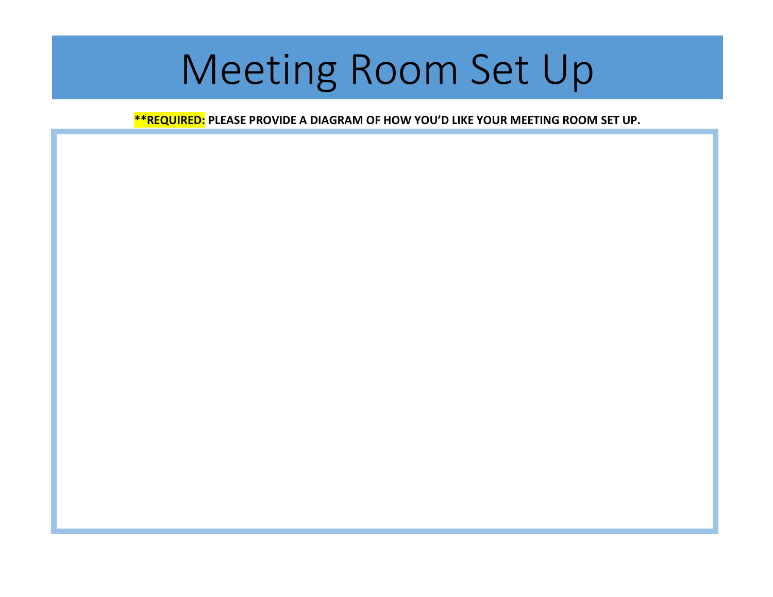# Meeting Room Set Up

**\*\*REQUIRED: PLEASE PROVIDE A DIAGRAM OF HOW YOU'D LIKE YOUR MEETING ROOM SET UP.**